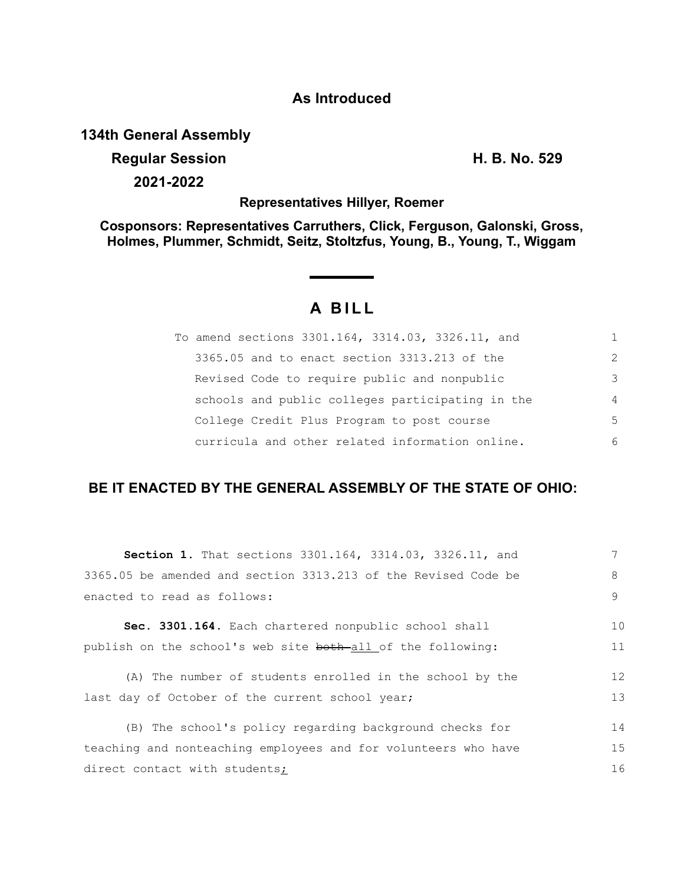## **As Introduced**

## **134th General Assembly**

**Regular Session H. B. No. 529 2021-2022**

**Representatives Hillyer, Roemer**

**Cosponsors: Representatives Carruthers, Click, Ferguson, Galonski, Gross, Holmes, Plummer, Schmidt, Seitz, Stoltzfus, Young, B., Young, T., Wiggam**

# **A BILL**

| To amend sections 3301.164, 3314.03, 3326.11, and |                |
|---------------------------------------------------|----------------|
| 3365.05 and to enact section 3313.213 of the      | $\mathcal{P}$  |
| Revised Code to require public and nonpublic      | 3              |
| schools and public colleges participating in the  | $\overline{4}$ |
| College Credit Plus Program to post course        | .5             |
| curricula and other related information online.   | 6              |

# **BE IT ENACTED BY THE GENERAL ASSEMBLY OF THE STATE OF OHIO:**

| <b>Section 1.</b> That sections 3301.164, 3314.03, 3326.11, and |    |
|-----------------------------------------------------------------|----|
| 3365.05 be amended and section 3313.213 of the Revised Code be  | 8  |
| enacted to read as follows:                                     | 9  |
| Sec. 3301.164. Each chartered nonpublic school shall            | 10 |
| publish on the school's web site both-all of the following:     | 11 |
| (A) The number of students enrolled in the school by the        | 12 |
| last day of October of the current school year;                 | 13 |
| (B) The school's policy regarding background checks for         | 14 |
| teaching and nonteaching employees and for volunteers who have  | 15 |
| direct contact with students;                                   | 16 |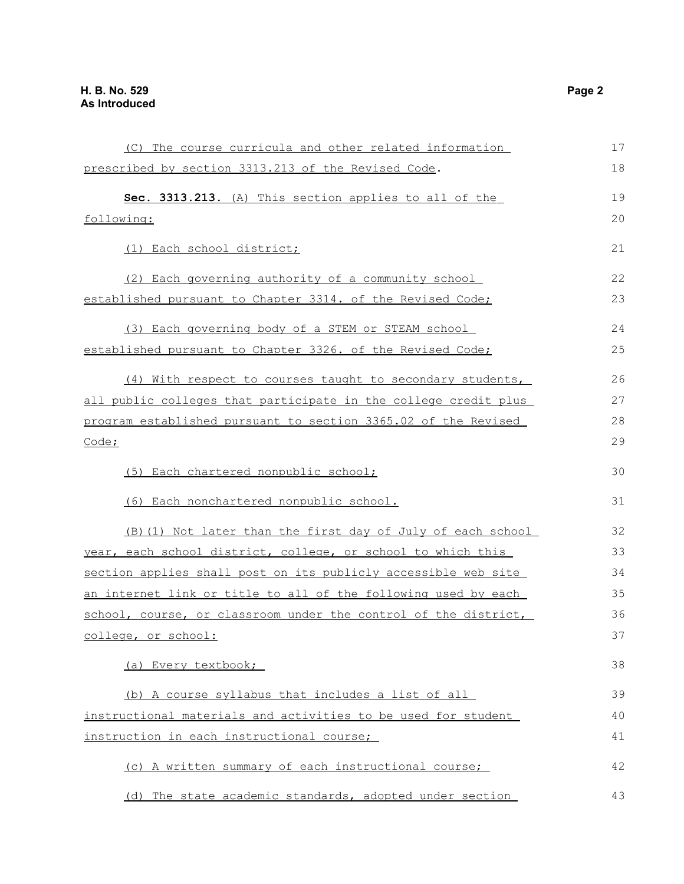| (C) The course curricula and other related information          | 17 |
|-----------------------------------------------------------------|----|
| prescribed by section 3313.213 of the Revised Code.             | 18 |
| Sec. 3313.213. (A) This section applies to all of the           | 19 |
| following:                                                      |    |
| (1) Each school district;                                       | 21 |
| (2) Each governing authority of a community school              | 22 |
| established pursuant to Chapter 3314. of the Revised Code;      | 23 |
| (3) Each governing body of a STEM or STEAM school               | 24 |
| established pursuant to Chapter 3326. of the Revised Code;      | 25 |
| (4) With respect to courses taught to secondary students,       | 26 |
| all public colleges that participate in the college credit plus | 27 |
|                                                                 | 28 |
| program established pursuant to section 3365.02 of the Revised  |    |
| Code;                                                           | 29 |
| (5) Each chartered nonpublic school;                            | 30 |
| (6) Each nonchartered nonpublic school.                         | 31 |
| (B) (1) Not later than the first day of July of each school     | 32 |
| year, each school district, college, or school to which this    | 33 |
| section applies shall post on its publicly accessible web site  | 34 |
| an internet link or title to all of the following used by each  | 35 |
| school, course, or classroom under the control of the district, | 36 |
| college, or school:                                             | 37 |
| (a) Every textbook;                                             | 38 |
| (b) A course syllabus that includes a list of all               | 39 |
| instructional materials and activities to be used for student   | 40 |
| instruction in each instructional course;                       |    |
| (c) A written summary of each instructional course;             | 42 |
| (d) The state academic standards, adopted under section         | 43 |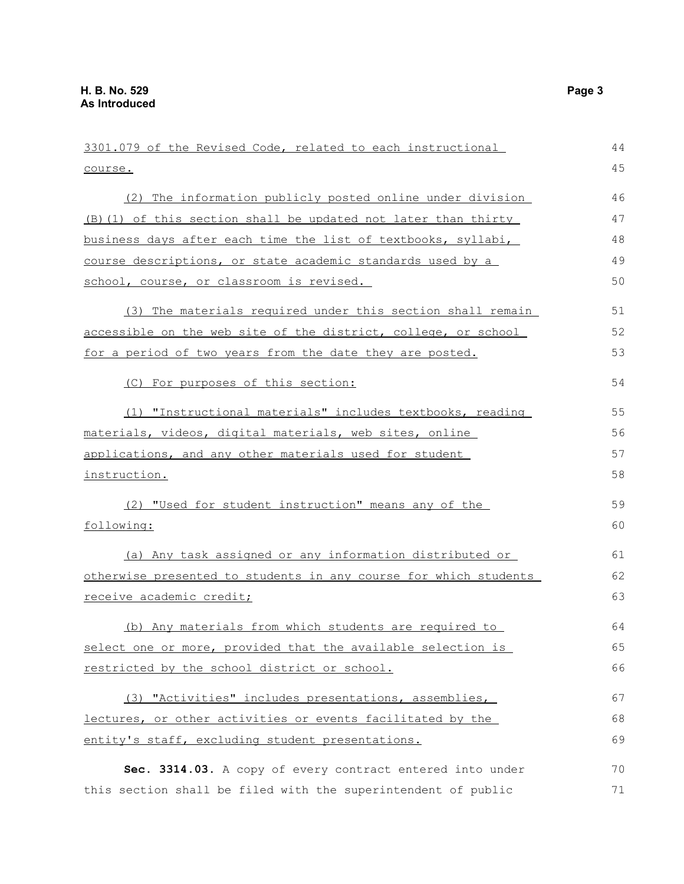3301.079 of the Revised Code, related to each instructional course. (2) The information publicly posted online under division (B)(1) of this section shall be updated not later than thirty business days after each time the list of textbooks, syllabi, course descriptions, or state academic standards used by a school, course, or classroom is revised. (3) The materials required under this section shall remain accessible on the web site of the district, college, or school for a period of two years from the date they are posted. (C) For purposes of this section: (1) "Instructional materials" includes textbooks, reading materials, videos, digital materials, web sites, online applications, and any other materials used for student instruction. (2) "Used for student instruction" means any of the following: (a) Any task assigned or any information distributed or otherwise presented to students in any course for which students receive academic credit; (b) Any materials from which students are required to select one or more, provided that the available selection is restricted by the school district or school. (3) "Activities" includes presentations, assemblies, lectures, or other activities or events facilitated by the entity's staff, excluding student presentations. **Sec. 3314.03.** A copy of every contract entered into under 44 45 46 47 48 49 50 51 52 53 54 55 56 57 58 59 60 61 62 63 64 65 66 67 68 69 70

this section shall be filed with the superintendent of public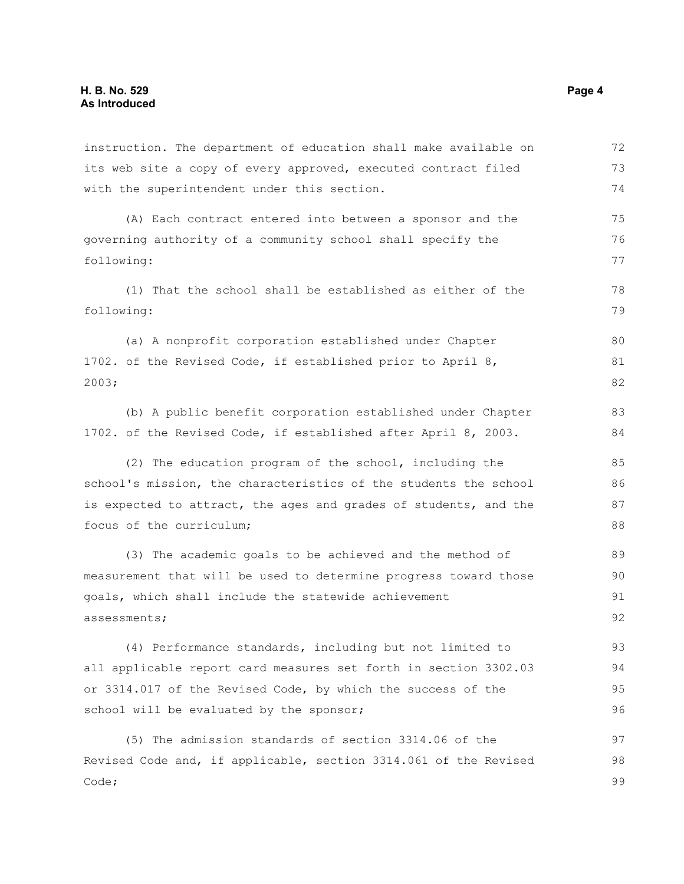| instruction. The department of education shall make available on | 72 |
|------------------------------------------------------------------|----|
| its web site a copy of every approved, executed contract filed   | 73 |
| with the superintendent under this section.                      | 74 |
| (A) Each contract entered into between a sponsor and the         | 75 |
| governing authority of a community school shall specify the      |    |
| following:                                                       |    |
| (1) That the school shall be established as either of the        | 78 |
| following:                                                       |    |
| (a) A nonprofit corporation established under Chapter            | 80 |
| 1702. of the Revised Code, if established prior to April 8,      | 81 |
| 2003;                                                            | 82 |
| (b) A public benefit corporation established under Chapter       | 83 |
| 1702. of the Revised Code, if established after April 8, 2003.   | 84 |
| (2) The education program of the school, including the           | 85 |
| school's mission, the characteristics of the students the school | 86 |
| is expected to attract, the ages and grades of students, and the |    |
| focus of the curriculum;                                         | 88 |
| (3) The academic goals to be achieved and the method of          | 89 |
| measurement that will be used to determine progress toward those | 90 |
| goals, which shall include the statewide achievement             | 91 |
| assessments;                                                     | 92 |
| (4) Performance standards, including but not limited to          | 93 |
| all applicable report card measures set forth in section 3302.03 | 94 |
| or 3314.017 of the Revised Code, by which the success of the     | 95 |
| school will be evaluated by the sponsor;                         | 96 |
| (5) The admission standards of section 3314.06 of the            | 97 |
| Revised Code and, if applicable, section 3314.061 of the Revised | 98 |
| Code;                                                            | 99 |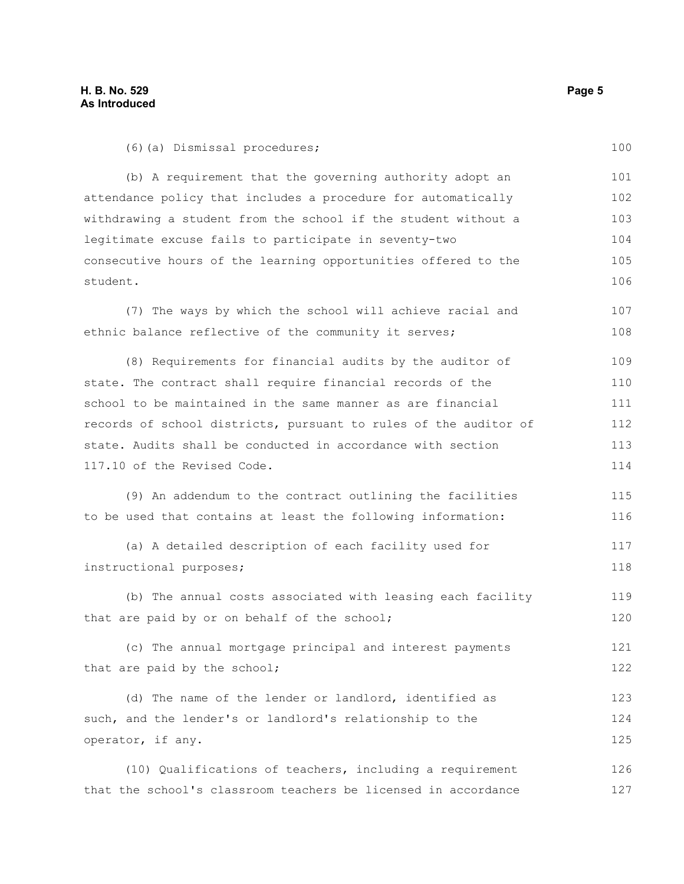100

(6)(a) Dismissal procedures;

(b) A requirement that the governing authority adopt an attendance policy that includes a procedure for automatically withdrawing a student from the school if the student without a legitimate excuse fails to participate in seventy-two consecutive hours of the learning opportunities offered to the student. 101 102 103 104 105 106

(7) The ways by which the school will achieve racial and ethnic balance reflective of the community it serves; 107 108

(8) Requirements for financial audits by the auditor of state. The contract shall require financial records of the school to be maintained in the same manner as are financial records of school districts, pursuant to rules of the auditor of state. Audits shall be conducted in accordance with section 117.10 of the Revised Code. 109 110 111 112 113 114

(9) An addendum to the contract outlining the facilities to be used that contains at least the following information: 115 116

(a) A detailed description of each facility used for instructional purposes; 117 118

(b) The annual costs associated with leasing each facility that are paid by or on behalf of the school; 119 120

(c) The annual mortgage principal and interest payments that are paid by the school; 121 122

(d) The name of the lender or landlord, identified as such, and the lender's or landlord's relationship to the operator, if any. 123 124 125

(10) Qualifications of teachers, including a requirement that the school's classroom teachers be licensed in accordance 126 127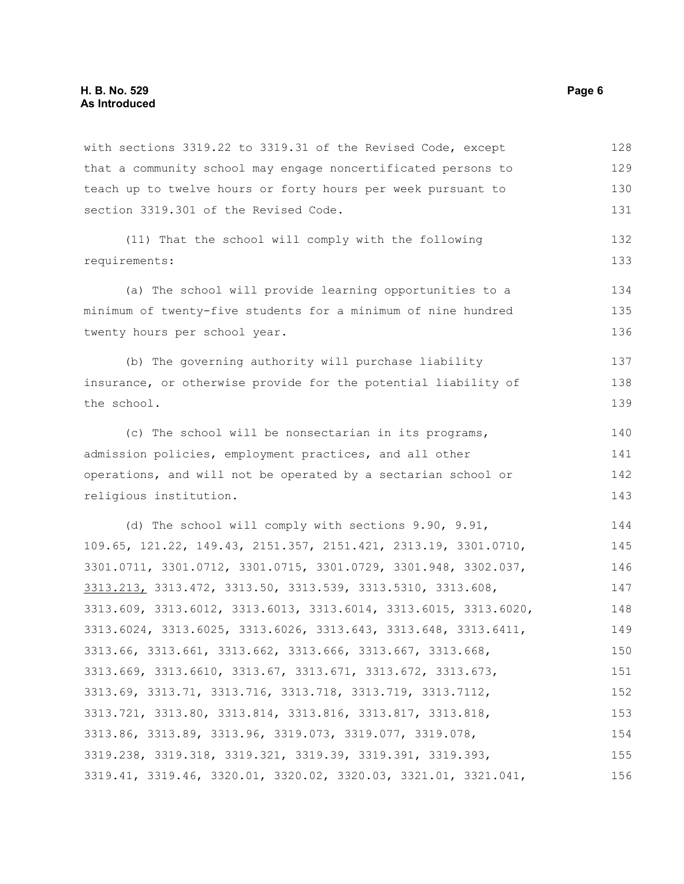with sections 3319.22 to 3319.31 of the Revised Code, except that a community school may engage noncertificated persons to teach up to twelve hours or forty hours per week pursuant to section 3319.301 of the Revised Code. (11) That the school will comply with the following requirements: (a) The school will provide learning opportunities to a minimum of twenty-five students for a minimum of nine hundred twenty hours per school year. (b) The governing authority will purchase liability insurance, or otherwise provide for the potential liability of the school. (c) The school will be nonsectarian in its programs, admission policies, employment practices, and all other operations, and will not be operated by a sectarian school or religious institution. (d) The school will comply with sections 9.90, 9.91, 109.65, 121.22, 149.43, 2151.357, 2151.421, 2313.19, 3301.0710, 3301.0711, 3301.0712, 3301.0715, 3301.0729, 3301.948, 3302.037, 3313.213, 3313.472, 3313.50, 3313.539, 3313.5310, 3313.608, 3313.609, 3313.6012, 3313.6013, 3313.6014, 3313.6015, 3313.6020, 3313.6024, 3313.6025, 3313.6026, 3313.643, 3313.648, 3313.6411, 3313.66, 3313.661, 3313.662, 3313.666, 3313.667, 3313.668, 3313.669, 3313.6610, 3313.67, 3313.671, 3313.672, 3313.673, 3313.69, 3313.71, 3313.716, 3313.718, 3313.719, 3313.7112, 3313.721, 3313.80, 3313.814, 3313.816, 3313.817, 3313.818, 3313.86, 3313.89, 3313.96, 3319.073, 3319.077, 3319.078, 3319.238, 3319.318, 3319.321, 3319.39, 3319.391, 3319.393, 3319.41, 3319.46, 3320.01, 3320.02, 3320.03, 3321.01, 3321.041, 128 129 130 131 132 133 134 135 136 137 138 139 140 141 142 143 144 145 146 147 148 149 150 151 152 153 154 155 156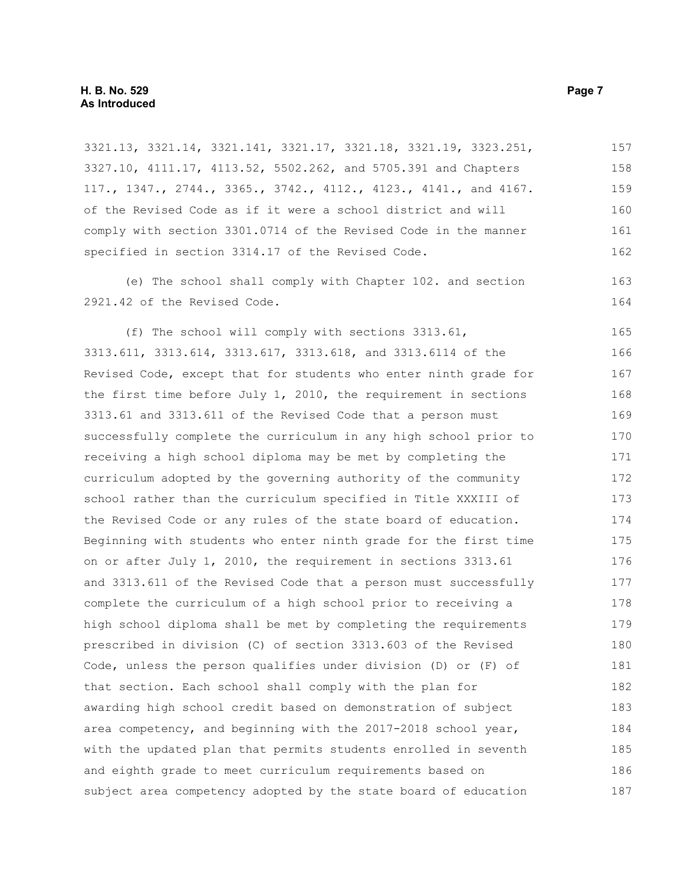3321.13, 3321.14, 3321.141, 3321.17, 3321.18, 3321.19, 3323.251, 3327.10, 4111.17, 4113.52, 5502.262, and 5705.391 and Chapters 117., 1347., 2744., 3365., 3742., 4112., 4123., 4141., and 4167. of the Revised Code as if it were a school district and will comply with section 3301.0714 of the Revised Code in the manner specified in section 3314.17 of the Revised Code. 157 158 159 160 161 162

(e) The school shall comply with Chapter 102. and section 2921.42 of the Revised Code.

(f) The school will comply with sections 3313.61, 3313.611, 3313.614, 3313.617, 3313.618, and 3313.6114 of the Revised Code, except that for students who enter ninth grade for the first time before July  $1$ , 2010, the requirement in sections 3313.61 and 3313.611 of the Revised Code that a person must successfully complete the curriculum in any high school prior to receiving a high school diploma may be met by completing the curriculum adopted by the governing authority of the community school rather than the curriculum specified in Title XXXIII of the Revised Code or any rules of the state board of education. Beginning with students who enter ninth grade for the first time on or after July 1, 2010, the requirement in sections 3313.61 and 3313.611 of the Revised Code that a person must successfully complete the curriculum of a high school prior to receiving a high school diploma shall be met by completing the requirements prescribed in division (C) of section 3313.603 of the Revised Code, unless the person qualifies under division (D) or (F) of that section. Each school shall comply with the plan for awarding high school credit based on demonstration of subject area competency, and beginning with the 2017-2018 school year, with the updated plan that permits students enrolled in seventh and eighth grade to meet curriculum requirements based on subject area competency adopted by the state board of education 165 166 167 168 169 170 171 172 173 174 175 176 177 178 179 180 181 182 183 184 185 186 187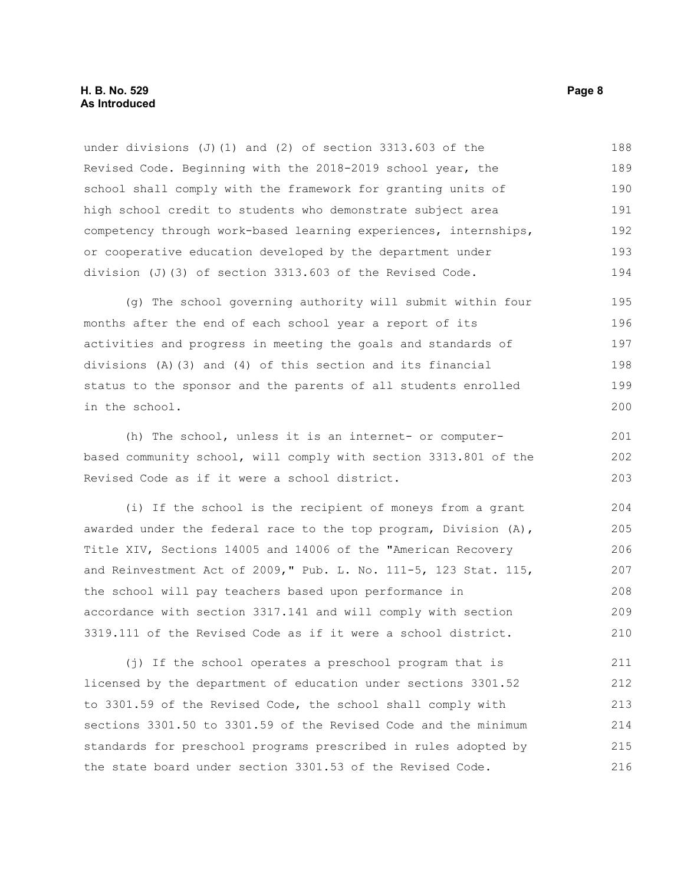under divisions (J)(1) and (2) of section 3313.603 of the Revised Code. Beginning with the 2018-2019 school year, the school shall comply with the framework for granting units of high school credit to students who demonstrate subject area competency through work-based learning experiences, internships, or cooperative education developed by the department under division (J)(3) of section 3313.603 of the Revised Code. 188 189 190 191 192 193 194

(g) The school governing authority will submit within four months after the end of each school year a report of its activities and progress in meeting the goals and standards of divisions (A)(3) and (4) of this section and its financial status to the sponsor and the parents of all students enrolled in the school. 195 196 197 198 199 200

(h) The school, unless it is an internet- or computerbased community school, will comply with section 3313.801 of the Revised Code as if it were a school district. 201 202 203

(i) If the school is the recipient of moneys from a grant awarded under the federal race to the top program, Division (A), Title XIV, Sections 14005 and 14006 of the "American Recovery and Reinvestment Act of 2009," Pub. L. No. 111-5, 123 Stat. 115, the school will pay teachers based upon performance in accordance with section 3317.141 and will comply with section 3319.111 of the Revised Code as if it were a school district. 204 205 206 207 208 209 210

(j) If the school operates a preschool program that is licensed by the department of education under sections 3301.52 to 3301.59 of the Revised Code, the school shall comply with sections 3301.50 to 3301.59 of the Revised Code and the minimum standards for preschool programs prescribed in rules adopted by the state board under section 3301.53 of the Revised Code. 211 212 213 214 215 216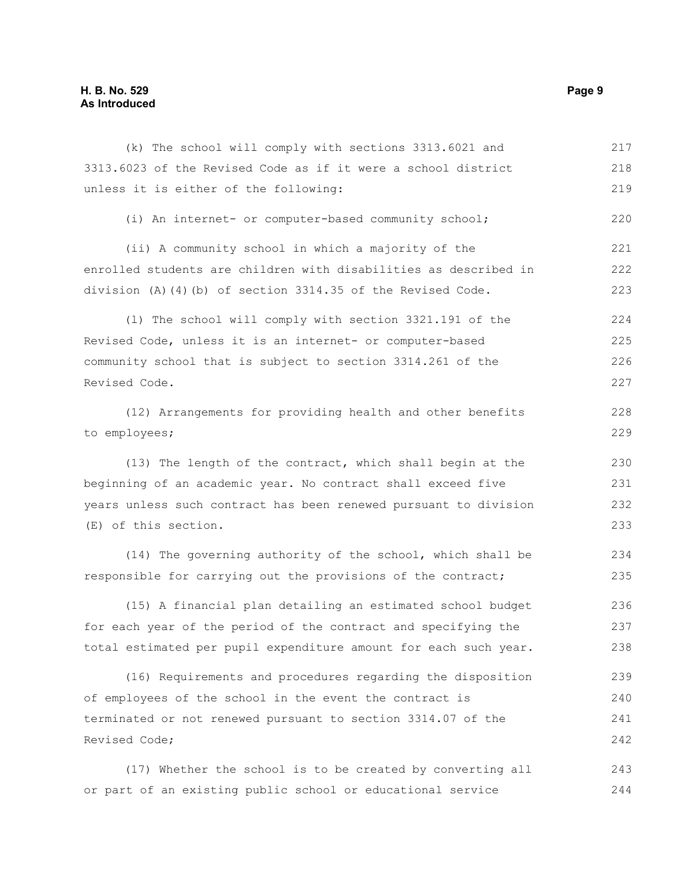### **H. B. No. 529 Page 9 As Introduced**

(k) The school will comply with sections 3313.6021 and 3313.6023 of the Revised Code as if it were a school district unless it is either of the following: (i) An internet- or computer-based community school; (ii) A community school in which a majority of the enrolled students are children with disabilities as described in division (A)(4)(b) of section 3314.35 of the Revised Code. (l) The school will comply with section 3321.191 of the Revised Code, unless it is an internet- or computer-based community school that is subject to section 3314.261 of the Revised Code. (12) Arrangements for providing health and other benefits to employees; (13) The length of the contract, which shall begin at the beginning of an academic year. No contract shall exceed five years unless such contract has been renewed pursuant to division (E) of this section. 217 218 219 220 221 222 223 224 225 226 227 228 229 230 231 232 233

(14) The governing authority of the school, which shall be responsible for carrying out the provisions of the contract;

(15) A financial plan detailing an estimated school budget for each year of the period of the contract and specifying the total estimated per pupil expenditure amount for each such year. 236 237 238

(16) Requirements and procedures regarding the disposition of employees of the school in the event the contract is terminated or not renewed pursuant to section 3314.07 of the Revised Code; 239 240 241 242

(17) Whether the school is to be created by converting all or part of an existing public school or educational service 243 244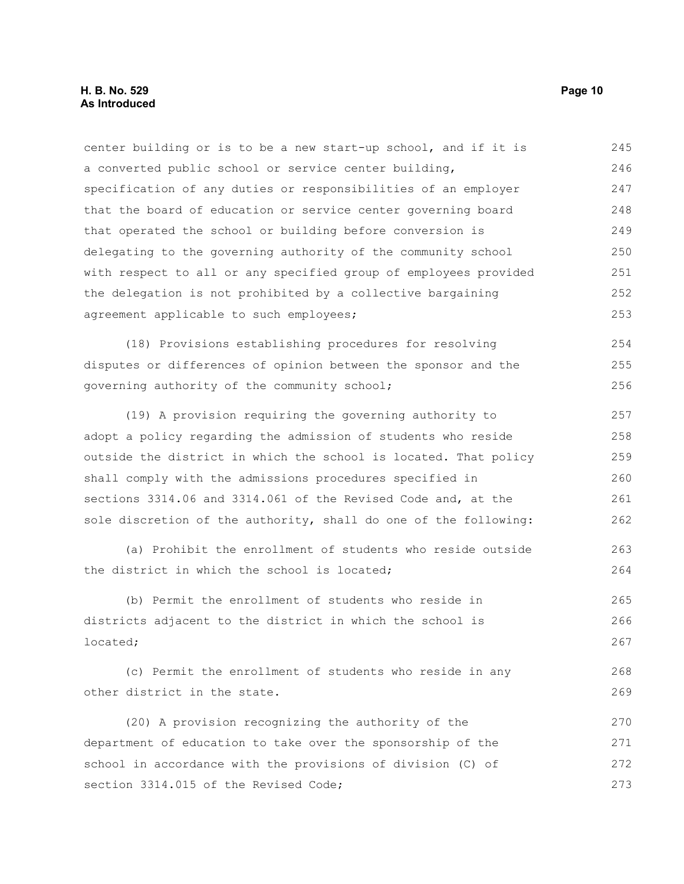#### **H. B. No. 529 Page 10 As Introduced**

center building or is to be a new start-up school, and if it is a converted public school or service center building, specification of any duties or responsibilities of an employer that the board of education or service center governing board that operated the school or building before conversion is delegating to the governing authority of the community school with respect to all or any specified group of employees provided the delegation is not prohibited by a collective bargaining agreement applicable to such employees; (18) Provisions establishing procedures for resolving disputes or differences of opinion between the sponsor and the governing authority of the community school; (19) A provision requiring the governing authority to adopt a policy regarding the admission of students who reside outside the district in which the school is located. That policy shall comply with the admissions procedures specified in sections 3314.06 and 3314.061 of the Revised Code and, at the sole discretion of the authority, shall do one of the following: (a) Prohibit the enrollment of students who reside outside the district in which the school is located; (b) Permit the enrollment of students who reside in districts adjacent to the district in which the school is located; (c) Permit the enrollment of students who reside in any other district in the state. (20) A provision recognizing the authority of the department of education to take over the sponsorship of the school in accordance with the provisions of division (C) of section 3314.015 of the Revised Code; 245 246 247 248 249 250 251 252 253 254 255 256 257 258 259 260 261 262 263 264 265 266 267 268 269 270 271 272 273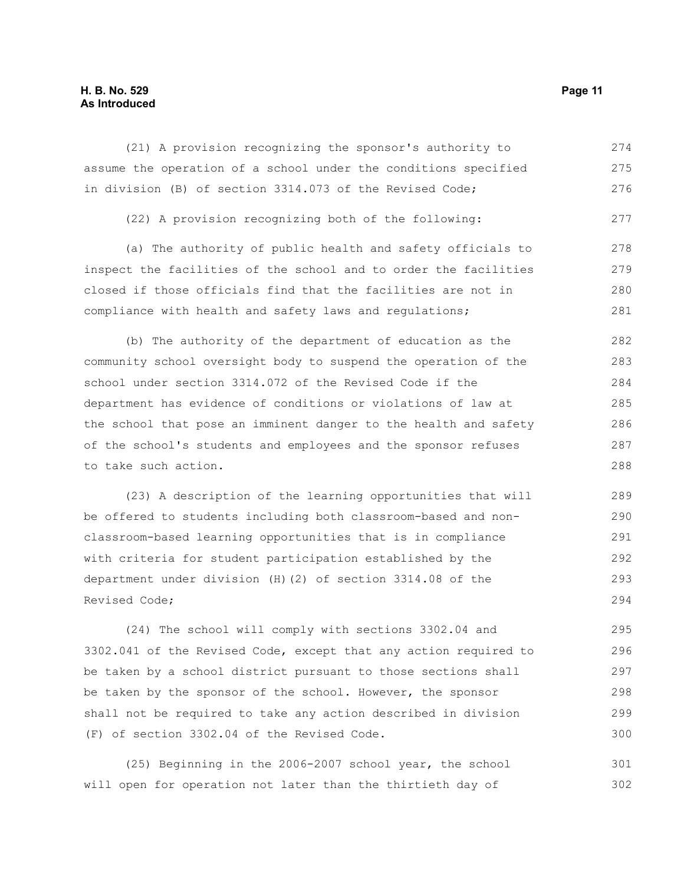### **H. B. No. 529 Page 11 As Introduced**

(21) A provision recognizing the sponsor's authority to assume the operation of a school under the conditions specified in division (B) of section 3314.073 of the Revised Code; 274 275 276

(22) A provision recognizing both of the following: 277

(a) The authority of public health and safety officials to inspect the facilities of the school and to order the facilities closed if those officials find that the facilities are not in compliance with health and safety laws and regulations; 278 279 280 281

(b) The authority of the department of education as the community school oversight body to suspend the operation of the school under section 3314.072 of the Revised Code if the department has evidence of conditions or violations of law at the school that pose an imminent danger to the health and safety of the school's students and employees and the sponsor refuses to take such action. 282 283 284 285 286 287 288

(23) A description of the learning opportunities that will be offered to students including both classroom-based and nonclassroom-based learning opportunities that is in compliance with criteria for student participation established by the department under division (H)(2) of section 3314.08 of the Revised Code; 289 290 291 292 293 294

(24) The school will comply with sections 3302.04 and 3302.041 of the Revised Code, except that any action required to be taken by a school district pursuant to those sections shall be taken by the sponsor of the school. However, the sponsor shall not be required to take any action described in division (F) of section 3302.04 of the Revised Code. 295 296 297 298 299 300

(25) Beginning in the 2006-2007 school year, the school will open for operation not later than the thirtieth day of 301 302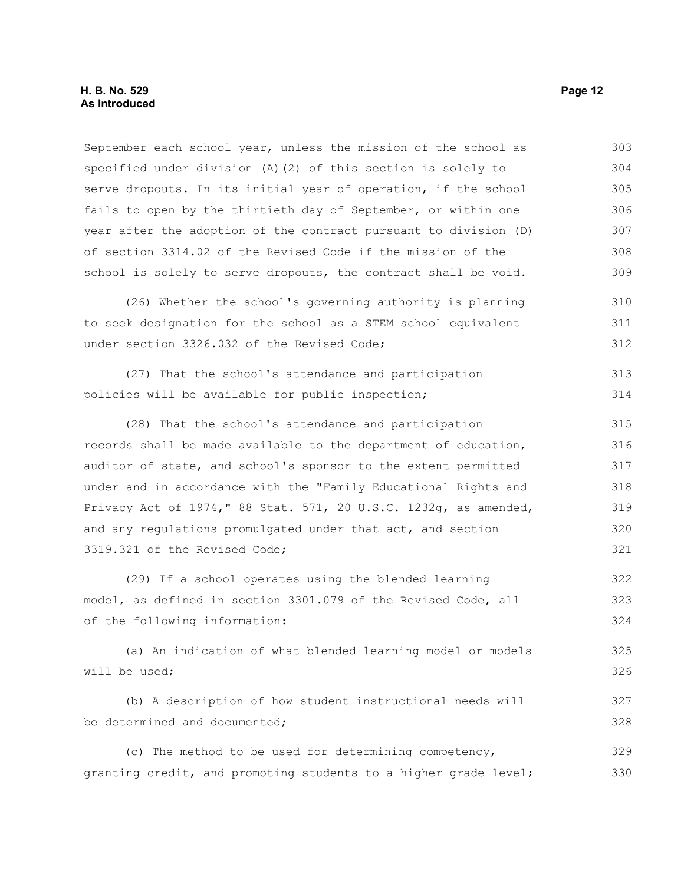September each school year, unless the mission of the school as specified under division (A)(2) of this section is solely to serve dropouts. In its initial year of operation, if the school fails to open by the thirtieth day of September, or within one year after the adoption of the contract pursuant to division (D) of section 3314.02 of the Revised Code if the mission of the school is solely to serve dropouts, the contract shall be void. (26) Whether the school's governing authority is planning to seek designation for the school as a STEM school equivalent under section 3326.032 of the Revised Code; (27) That the school's attendance and participation policies will be available for public inspection; (28) That the school's attendance and participation records shall be made available to the department of education, auditor of state, and school's sponsor to the extent permitted 303 304 305 306 307 308 309 310 311 312 313 314 315 316 317

under and in accordance with the "Family Educational Rights and Privacy Act of 1974," 88 Stat. 571, 20 U.S.C. 1232g, as amended, and any regulations promulgated under that act, and section 3319.321 of the Revised Code; 318 319 320 321

(29) If a school operates using the blended learning model, as defined in section 3301.079 of the Revised Code, all of the following information: 322 323 324

(a) An indication of what blended learning model or models will be used; 325 326

(b) A description of how student instructional needs will be determined and documented; 327 328

(c) The method to be used for determining competency, granting credit, and promoting students to a higher grade level; 329 330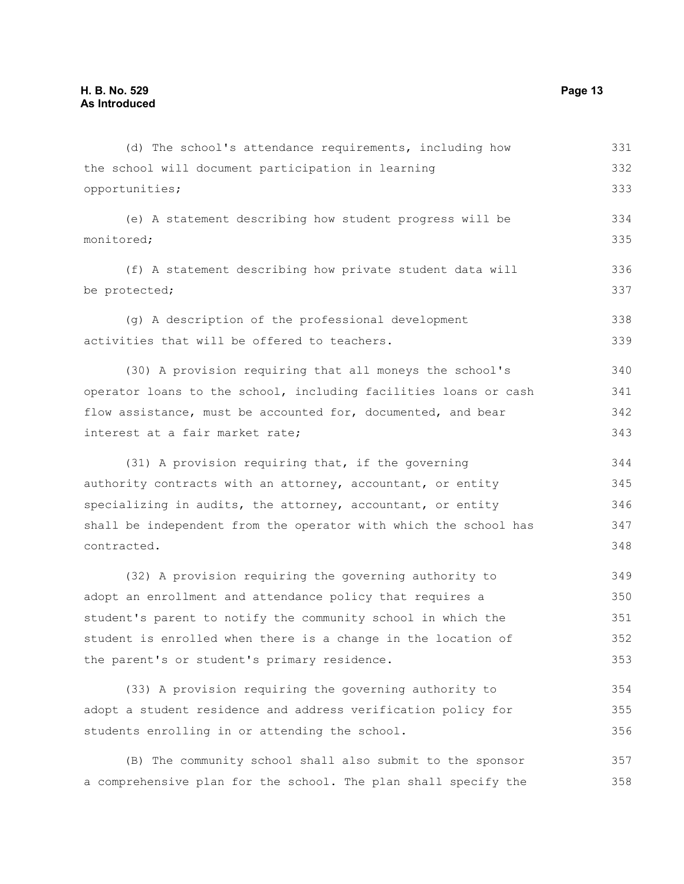(d) The school's attendance requirements, including how the school will document participation in learning opportunities; (e) A statement describing how student progress will be monitored; (f) A statement describing how private student data will be protected; (g) A description of the professional development activities that will be offered to teachers. (30) A provision requiring that all moneys the school's operator loans to the school, including facilities loans or cash flow assistance, must be accounted for, documented, and bear interest at a fair market rate; (31) A provision requiring that, if the governing authority contracts with an attorney, accountant, or entity specializing in audits, the attorney, accountant, or entity shall be independent from the operator with which the school has contracted. (32) A provision requiring the governing authority to adopt an enrollment and attendance policy that requires a student's parent to notify the community school in which the student is enrolled when there is a change in the location of the parent's or student's primary residence. (33) A provision requiring the governing authority to 331 332 333 334 335 336 337 338 339 340 341 342 343 344 345 346 347 348 349 350 351 352 353 354

adopt a student residence and address verification policy for students enrolling in or attending the school. 355 356

(B) The community school shall also submit to the sponsor a comprehensive plan for the school. The plan shall specify the 357 358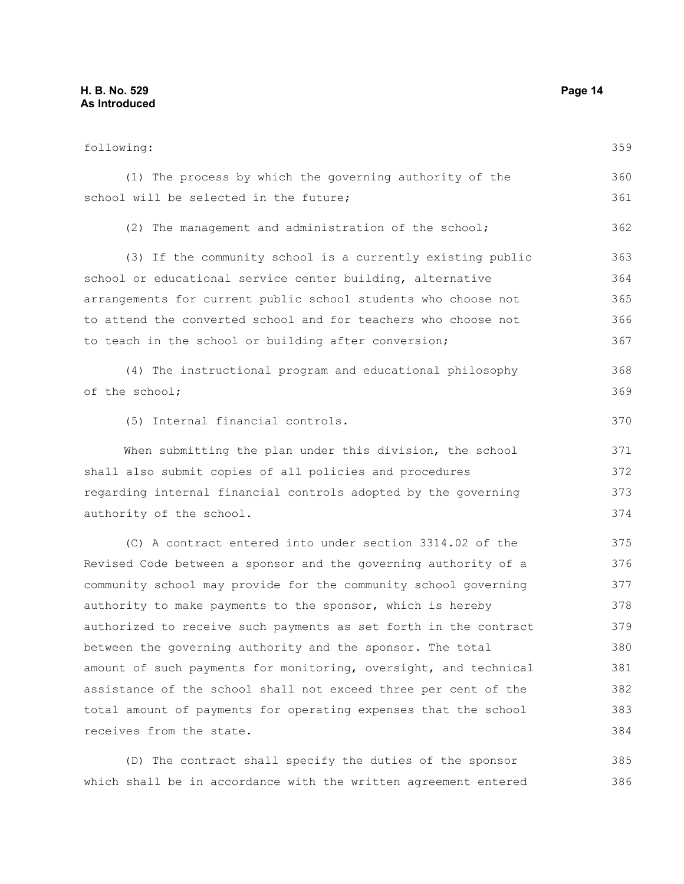following: (1) The process by which the governing authority of the school will be selected in the future; (2) The management and administration of the school; (3) If the community school is a currently existing public school or educational service center building, alternative arrangements for current public school students who choose not to attend the converted school and for teachers who choose not to teach in the school or building after conversion; (4) The instructional program and educational philosophy of the school; (5) Internal financial controls. When submitting the plan under this division, the school shall also submit copies of all policies and procedures regarding internal financial controls adopted by the governing authority of the school. (C) A contract entered into under section 3314.02 of the Revised Code between a sponsor and the governing authority of a community school may provide for the community school governing authority to make payments to the sponsor, which is hereby authorized to receive such payments as set forth in the contract between the governing authority and the sponsor. The total amount of such payments for monitoring, oversight, and technical assistance of the school shall not exceed three per cent of the total amount of payments for operating expenses that the school receives from the state. 359 360 361 362 363 364 365 366 367 368 369 370 371 372 373 374 375 376 377 378 379 380 381 382 383 384

(D) The contract shall specify the duties of the sponsor which shall be in accordance with the written agreement entered 385 386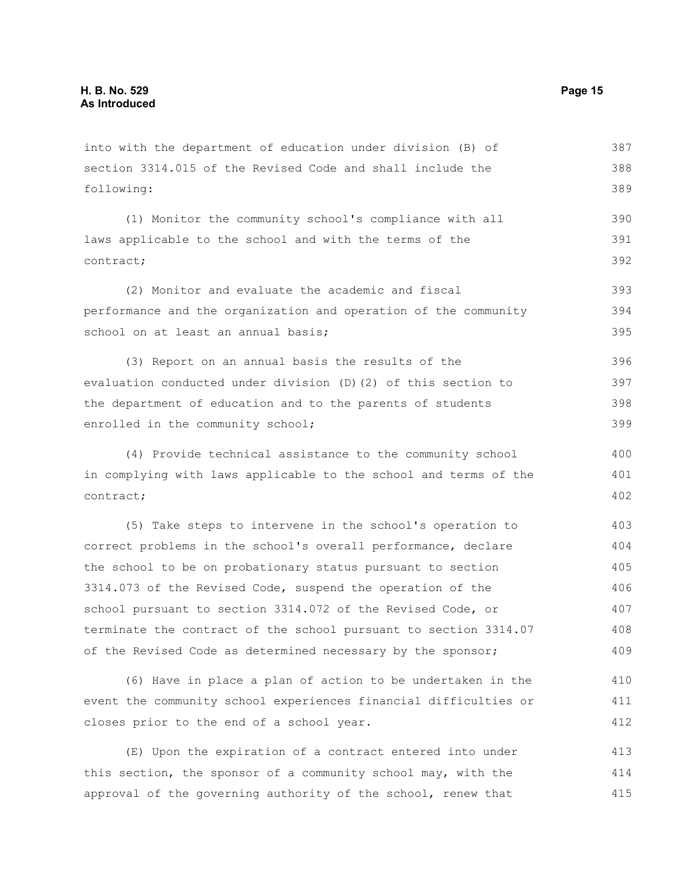into with the department of education under division (B) of section 3314.015 of the Revised Code and shall include the following:

(1) Monitor the community school's compliance with all laws applicable to the school and with the terms of the contract; 390 391 392

(2) Monitor and evaluate the academic and fiscal performance and the organization and operation of the community school on at least an annual basis; 393 394 395

(3) Report on an annual basis the results of the evaluation conducted under division (D)(2) of this section to the department of education and to the parents of students enrolled in the community school; 396 397 398 399

(4) Provide technical assistance to the community school in complying with laws applicable to the school and terms of the contract; 400 401 402

(5) Take steps to intervene in the school's operation to correct problems in the school's overall performance, declare the school to be on probationary status pursuant to section 3314.073 of the Revised Code, suspend the operation of the school pursuant to section 3314.072 of the Revised Code, or terminate the contract of the school pursuant to section 3314.07 of the Revised Code as determined necessary by the sponsor; 403 404 405 406 407 408 409

(6) Have in place a plan of action to be undertaken in the event the community school experiences financial difficulties or closes prior to the end of a school year. 410 411 412

(E) Upon the expiration of a contract entered into under this section, the sponsor of a community school may, with the approval of the governing authority of the school, renew that 413 414 415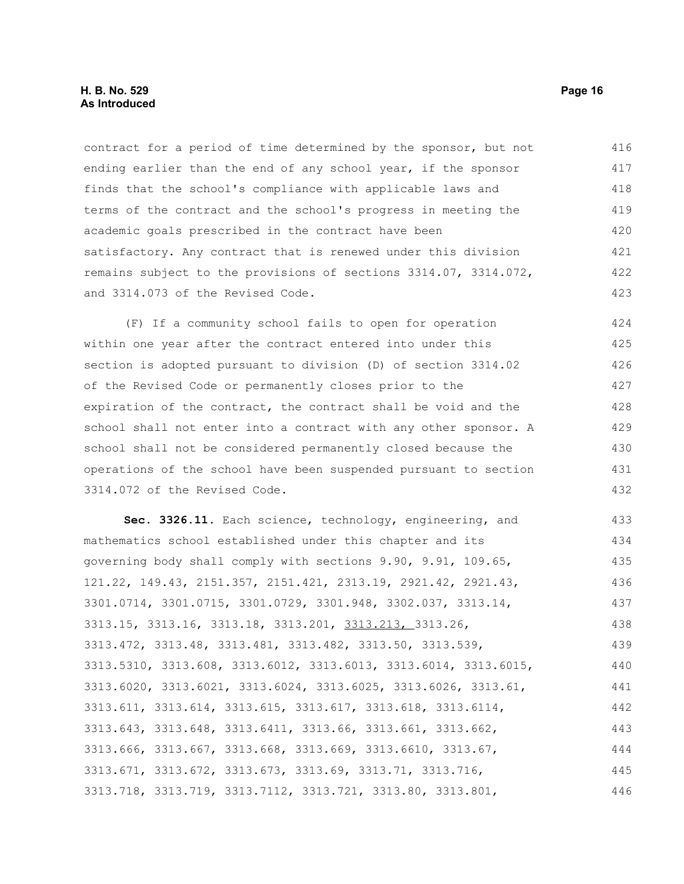contract for a period of time determined by the sponsor, but not ending earlier than the end of any school year, if the sponsor finds that the school's compliance with applicable laws and terms of the contract and the school's progress in meeting the academic goals prescribed in the contract have been satisfactory. Any contract that is renewed under this division remains subject to the provisions of sections 3314.07, 3314.072, and 3314.073 of the Revised Code. 416 417 418 419 420 421 422 423

(F) If a community school fails to open for operation within one year after the contract entered into under this section is adopted pursuant to division (D) of section 3314.02 of the Revised Code or permanently closes prior to the expiration of the contract, the contract shall be void and the school shall not enter into a contract with any other sponsor. A school shall not be considered permanently closed because the operations of the school have been suspended pursuant to section 3314.072 of the Revised Code. 424 425 426 427 428 429 430 431 432

**Sec. 3326.11.** Each science, technology, engineering, and mathematics school established under this chapter and its governing body shall comply with sections 9.90, 9.91, 109.65, 121.22, 149.43, 2151.357, 2151.421, 2313.19, 2921.42, 2921.43, 3301.0714, 3301.0715, 3301.0729, 3301.948, 3302.037, 3313.14, 3313.15, 3313.16, 3313.18, 3313.201, 3313.213, 3313.26, 3313.472, 3313.48, 3313.481, 3313.482, 3313.50, 3313.539, 3313.5310, 3313.608, 3313.6012, 3313.6013, 3313.6014, 3313.6015, 3313.6020, 3313.6021, 3313.6024, 3313.6025, 3313.6026, 3313.61, 3313.611, 3313.614, 3313.615, 3313.617, 3313.618, 3313.6114, 3313.643, 3313.648, 3313.6411, 3313.66, 3313.661, 3313.662, 3313.666, 3313.667, 3313.668, 3313.669, 3313.6610, 3313.67, 3313.671, 3313.672, 3313.673, 3313.69, 3313.71, 3313.716, 3313.718, 3313.719, 3313.7112, 3313.721, 3313.80, 3313.801, 433 434 435 436 437 438 439 440 441 442 443 444 445 446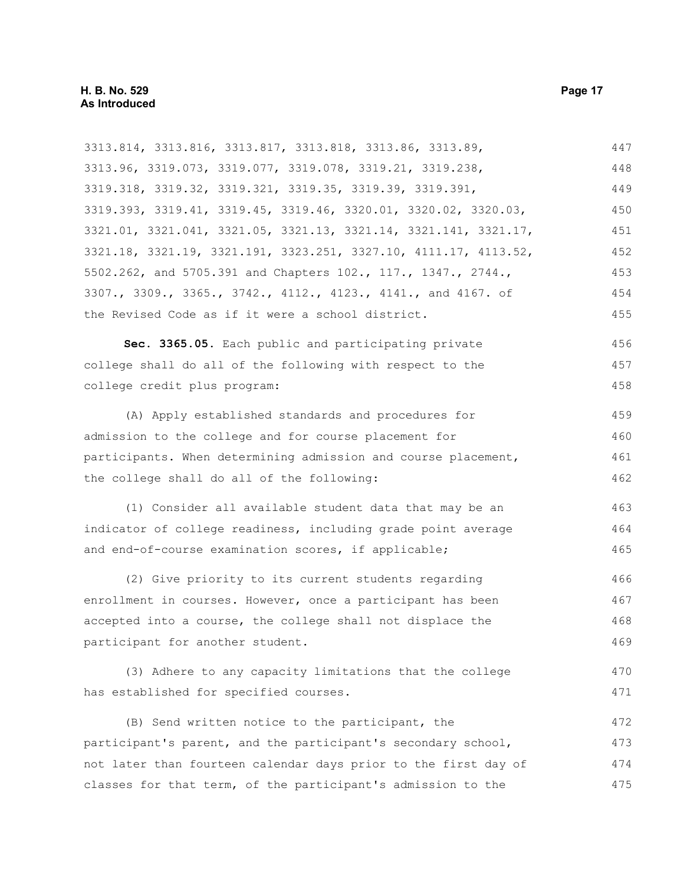| 3313.814, 3313.816, 3313.817, 3313.818, 3313.86, 3313.89,        | 447 |  |
|------------------------------------------------------------------|-----|--|
| 3313.96, 3319.073, 3319.077, 3319.078, 3319.21, 3319.238,        | 448 |  |
| 3319.318, 3319.32, 3319.321, 3319.35, 3319.39, 3319.391,         | 449 |  |
| 3319.393, 3319.41, 3319.45, 3319.46, 3320.01, 3320.02, 3320.03,  | 450 |  |
| 3321.01, 3321.041, 3321.05, 3321.13, 3321.14, 3321.141, 3321.17, | 451 |  |
| 3321.18, 3321.19, 3321.191, 3323.251, 3327.10, 4111.17, 4113.52, | 452 |  |
| 5502.262, and 5705.391 and Chapters 102., 117., 1347., 2744.,    | 453 |  |
| 3307., 3309., 3365., 3742., 4112., 4123., 4141., and 4167. of    | 454 |  |
| the Revised Code as if it were a school district.                | 455 |  |
| Sec. 3365.05. Each public and participating private              | 456 |  |
| college shall do all of the following with respect to the        | 457 |  |
| college credit plus program:                                     | 458 |  |
| (A) Apply established standards and procedures for               | 459 |  |
| admission to the college and for course placement for            | 460 |  |
| participants. When determining admission and course placement,   |     |  |
| the college shall do all of the following:                       | 462 |  |
| (1) Consider all available student data that may be an           | 463 |  |
| indicator of college readiness, including grade point average    |     |  |
| and end-of-course examination scores, if applicable;             | 465 |  |
| (2) Give priority to its current students regarding              | 466 |  |
| enrollment in courses. However, once a participant has been      | 467 |  |
| accepted into a course, the college shall not displace the       | 468 |  |
| participant for another student.                                 | 469 |  |
| (3) Adhere to any capacity limitations that the college          | 470 |  |
| has established for specified courses.                           | 471 |  |
| (B) Send written notice to the participant, the                  | 472 |  |
| participant's parent, and the participant's secondary school,    |     |  |
| not later than fourteen calendar days prior to the first day of  | 474 |  |
| classes for that term, of the participant's admission to the     | 475 |  |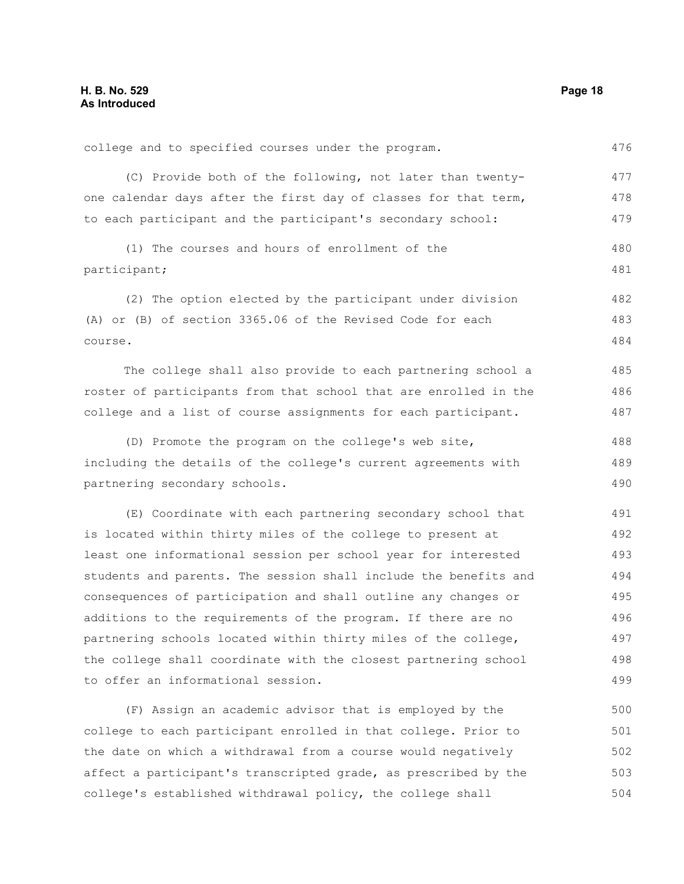476

485 486 487

college and to specified courses under the program.

(C) Provide both of the following, not later than twentyone calendar days after the first day of classes for that term, to each participant and the participant's secondary school: 477 478 479

(1) The courses and hours of enrollment of the participant; 480 481

(2) The option elected by the participant under division (A) or (B) of section 3365.06 of the Revised Code for each course. 482 483 484

The college shall also provide to each partnering school a roster of participants from that school that are enrolled in the college and a list of course assignments for each participant.

(D) Promote the program on the college's web site, including the details of the college's current agreements with partnering secondary schools. 488 489 490

(E) Coordinate with each partnering secondary school that is located within thirty miles of the college to present at least one informational session per school year for interested students and parents. The session shall include the benefits and consequences of participation and shall outline any changes or additions to the requirements of the program. If there are no partnering schools located within thirty miles of the college, the college shall coordinate with the closest partnering school to offer an informational session. 491 492 493 494 495 496 497 498 499

(F) Assign an academic advisor that is employed by the college to each participant enrolled in that college. Prior to the date on which a withdrawal from a course would negatively affect a participant's transcripted grade, as prescribed by the college's established withdrawal policy, the college shall 500 501 502 503 504